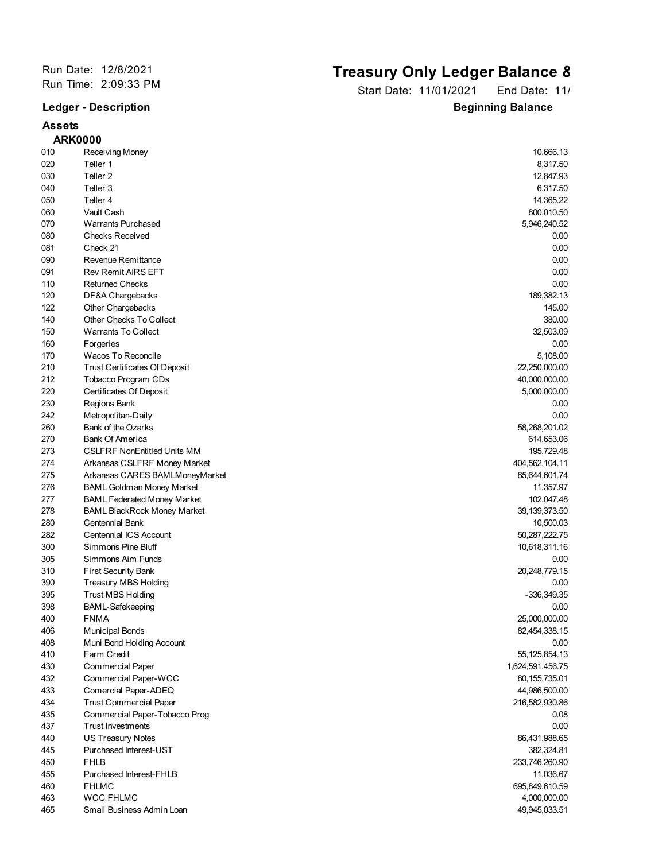## **Assets**

## Run Date: 12/8/2021<br>
Run Time: 2:09:33 PM<br> **Run Time: 2:09:33 PM**<br> **Ctart Date: 11/01/2001** Fad Date: 11/

Start Date: 11/01/2021 End Date: 11/ **Ledger - Description Beginning Balance** 

|     | <b>ARK0000</b>                       |                  |
|-----|--------------------------------------|------------------|
| 010 | Receiving Money                      | 10,666.13        |
| 020 | Teller 1                             | 8,317.50         |
| 030 | Teller <sub>2</sub>                  | 12,847.93        |
| 040 | Teller 3                             | 6,317.50         |
| 050 | Teller 4                             | 14,365.22        |
| 060 | Vault Cash                           | 800,010.50       |
| 070 | <b>Warrants Purchased</b>            | 5,946,240.52     |
| 080 | <b>Checks Received</b>               | 0.00             |
| 081 | Check 21                             | 0.00             |
| 090 | Revenue Remittance                   | 0.00             |
| 091 | <b>Rev Remit AIRS EFT</b>            | 0.00             |
| 110 | <b>Returned Checks</b>               | 0.00             |
| 120 | DF&A Chargebacks                     | 189,382.13       |
| 122 | Other Chargebacks                    | 145.00           |
| 140 | Other Checks To Collect              | 380.00           |
| 150 | <b>Warrants To Collect</b>           | 32,503.09        |
| 160 | Forgeries                            | 0.00             |
| 170 | Wacos To Reconcile                   | 5,108.00         |
| 210 |                                      |                  |
|     | <b>Trust Certificates Of Deposit</b> | 22,250,000.00    |
| 212 | Tobacco Program CDs                  | 40,000,000.00    |
| 220 | Certificates Of Deposit              | 5,000,000.00     |
| 230 | Regions Bank                         | 0.00             |
| 242 | Metropolitan-Daily                   | 0.00             |
| 260 | Bank of the Ozarks                   | 58,268,201.02    |
| 270 | <b>Bank Of America</b>               | 614,653.06       |
| 273 | <b>CSLFRF NonEntitled Units MM</b>   | 195,729.48       |
| 274 | Arkansas CSLFRF Money Market         | 404,562,104.11   |
| 275 | Arkansas CARES BAMLMoneyMarket       | 85,644,601.74    |
| 276 | <b>BAML Goldman Money Market</b>     | 11,357.97        |
| 277 | <b>BAML Federated Money Market</b>   | 102,047.48       |
| 278 | <b>BAML BlackRock Money Market</b>   | 39, 139, 373.50  |
| 280 | Centennial Bank                      | 10,500.03        |
| 282 | Centennial ICS Account               | 50, 287, 222. 75 |
| 300 | Simmons Pine Bluff                   | 10,618,311.16    |
| 305 | Simmons Aim Funds                    | 0.00             |
| 310 | <b>First Security Bank</b>           | 20,248,779.15    |
| 390 | Treasury MBS Holding                 | 0.00             |
| 395 | <b>Trust MBS Holding</b>             | -336,349.35      |
| 398 | <b>BAML-Safekeeping</b>              | 0.00             |
| 400 | <b>FNMA</b>                          | 25,000,000.00    |
| 406 | <b>Municipal Bonds</b>               | 82,454,338.15    |
| 408 | Muni Bond Holding Account            | 0.00             |
| 410 | Farm Credit                          | 55, 125, 854. 13 |
| 430 | <b>Commercial Paper</b>              | 1,624,591,456.75 |
| 432 | Commercial Paper-WCC                 | 80,155,735.01    |
| 433 | Comercial Paper-ADEQ                 | 44,986,500.00    |
| 434 | <b>Trust Commercial Paper</b>        | 216,582,930.86   |
| 435 | Commercial Paper-Tobacco Prog        | 0.08             |
| 437 | <b>Trust Investments</b>             | 0.00             |
| 440 | <b>US Treasury Notes</b>             | 86,431,988.65    |
| 445 | Purchased Interest-UST               | 382,324.81       |
| 450 | <b>FHLB</b>                          | 233,746,260.90   |
| 455 | Purchased Interest-FHLB              | 11,036.67        |
| 460 | <b>FHLMC</b>                         | 695,849,610.59   |
| 463 | <b>WCC FHLMC</b>                     | 4,000,000.00     |
| 465 | Small Business Admin Loan            | 49,945,033.51    |
|     |                                      |                  |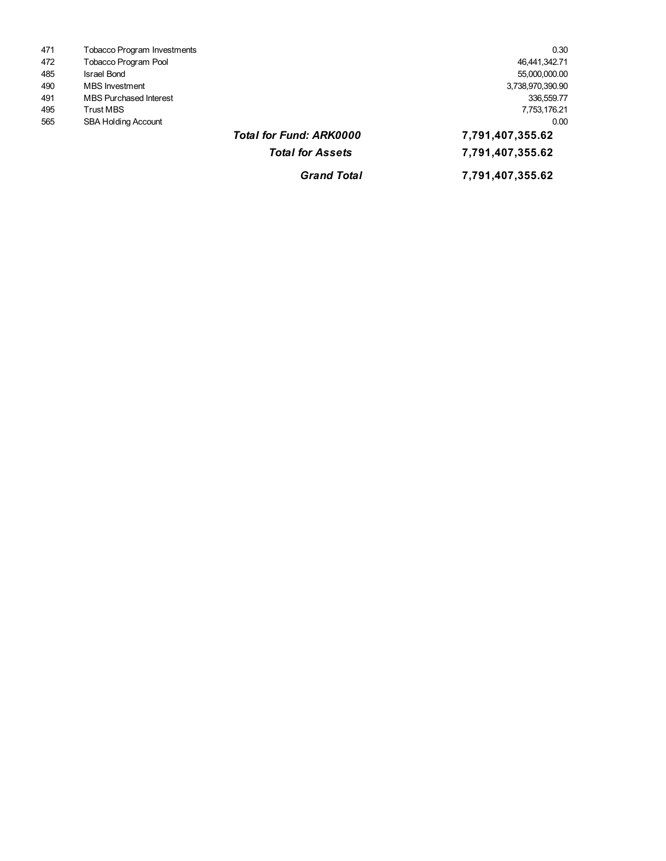*Grand Total* **7,791,407,355.62 23,244,711,800.69 Total for Fund: ARK0000 <b>7,791,407,355.62 7,791,407,355.62** 565 SBA Holding Account 0.00 495 Trust MBS 7,753,176.21 491 MBS Purchased Interest 336,559.77 490 MBS Investment 3,738,970,390.90 485 Israel Bond 55,000,000.00 472 Tobacco Program Pool 46,441,342.71 471 Tobacco Program Investments 0.30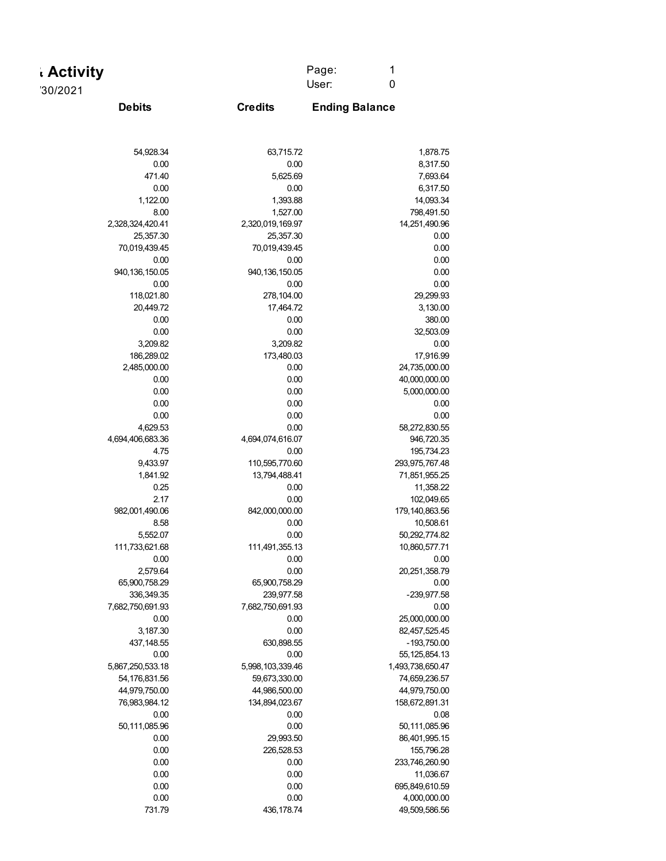| <b>Activity</b>      |                  | Page:<br>1            |
|----------------------|------------------|-----------------------|
| '30/2021             |                  | $\pmb{0}$<br>User:    |
| <b>Debits</b>        | <b>Credits</b>   | <b>Ending Balance</b> |
|                      |                  |                       |
| 54,928.34            | 63,715.72        | 1,878.75              |
| 0.00                 | 0.00             | 8,317.50              |
| 471.40               | 5,625.69         | 7,693.64              |
| 0.00                 | 0.00             | 6,317.50              |
| 1,122.00             | 1,393.88         | 14,093.34             |
| 8.00                 | 1,527.00         | 798,491.50            |
| 2,328,324,420.41     | 2,320,019,169.97 | 14,251,490.96         |
| 25,357.30            | 25,357.30        | 0.00                  |
| 70,019,439.45        | 70,019,439.45    | 0.00                  |
| 0.00                 | 0.00             | 0.00                  |
| 940, 136, 150.05     | 940, 136, 150.05 | 0.00                  |
| 0.00                 | 0.00             | 0.00                  |
| 118,021.80           | 278,104.00       | 29,299.93             |
| 20,449.72            | 17,464.72        | 3,130.00              |
| 0.00                 | 0.00             | 380.00                |
| 0.00                 | 0.00             | 32,503.09             |
| 3,209.82             | 3,209.82         | 0.00                  |
| 186,289.02           | 173,480.03       | 17,916.99             |
| 2,485,000.00         | 0.00             | 24,735,000.00         |
| 0.00                 | 0.00             | 40,000,000.00         |
| 0.00                 | 0.00             | 5,000,000.00          |
| 0.00                 | 0.00             | 0.00                  |
| 0.00                 | 0.00             | 0.00                  |
| 4,629.53             | 0.00             | 58,272,830.55         |
| 4,694,406,683.36     | 4,694,074,616.07 | 946,720.35            |
| 4.75                 | 0.00             | 195,734.23            |
| 9,433.97             | 110,595,770.60   | 293,975,767.48        |
| 1,841.92             | 13,794,488.41    | 71,851,955.25         |
| 0.25                 | 0.00             | 11,358.22             |
| 2.17                 | 0.00             | 102,049.65            |
| 982,001,490.06       | 842,000,000.00   | 179,140,863.56        |
| 8.58                 | 0.00             | 10,508.61             |
| 5,552.07             | 0.00             | 50,292,774.82         |
| 111,733,621.68       | 111,491,355.13   | 10,860,577.71<br>0.00 |
| $0.00\,$<br>2,579.64 | 0.00<br>0.00     | 20,251,358.79         |
| 65,900,758.29        | 65,900,758.29    | 0.00                  |
| 336,349.35           | 239,977.58       | -239,977.58           |
| 7,682,750,691.93     | 7,682,750,691.93 | 0.00                  |
| 0.00                 | 0.00             | 25,000,000.00         |
| 3,187.30             | 0.00             | 82,457,525.45         |
| 437, 148.55          | 630,898.55       | $-193,750.00$         |
| 0.00                 | 0.00             | 55, 125, 854. 13      |
| 5,867,250,533.18     | 5,998,103,339.46 | 1,493,738,650.47      |
| 54,176,831.56        | 59,673,330.00    | 74,659,236.57         |
| 44,979,750.00        | 44,986,500.00    | 44,979,750.00         |
| 76,983,984.12        | 134,894,023.67   | 158,672,891.31        |
| 0.00                 | 0.00             | 0.08                  |
| 50,111,085.96        | 0.00             | 50,111,085.96         |
| 0.00                 | 29,993.50        | 86,401,995.15         |
| 0.00                 | 226,528.53       | 155,796.28            |
| 0.00                 | 0.00             | 233,746,260.90        |
| 0.00                 | 0.00             | 11,036.67             |
| 0.00                 | 0.00             | 695,849,610.59        |
| 0.00                 | 0.00             | 4,000,000.00          |
| 731.79               | 436, 178.74      | 49,509,586.56         |
|                      |                  |                       |

Page: 1